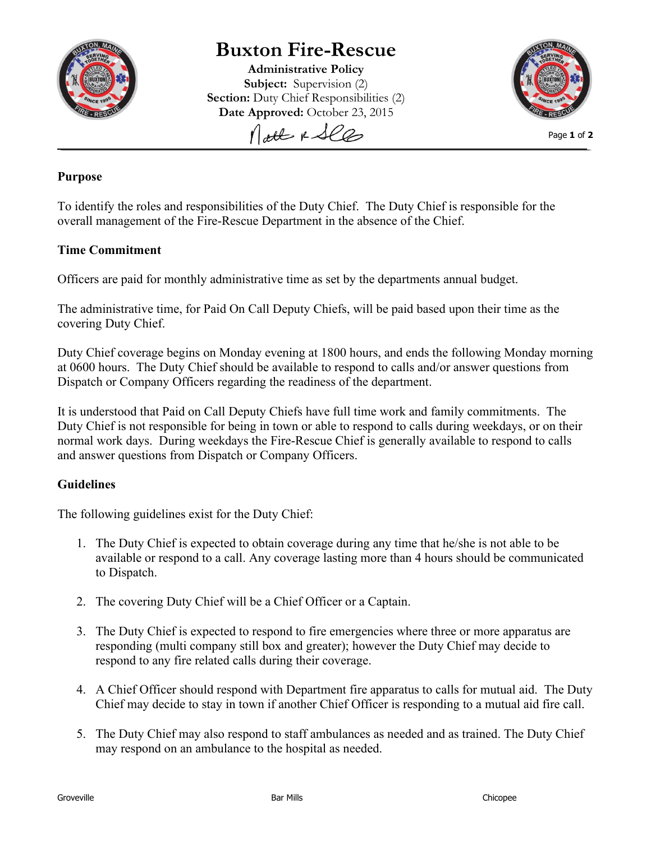

# **Buxton Fire-Rescue**

**Administrative Policy Subject:** Supervision (2) **Section:** Duty Chief Responsibilities (2) **Date Approved:** October 23, 2015

Nott & See



Page **1** of **2**

### **Purpose**

To identify the roles and responsibilities of the Duty Chief. The Duty Chief is responsible for the overall management of the Fire-Rescue Department in the absence of the Chief.

### **Time Commitment**

Officers are paid for monthly administrative time as set by the departments annual budget.

The administrative time, for Paid On Call Deputy Chiefs, will be paid based upon their time as the covering Duty Chief.

Duty Chief coverage begins on Monday evening at 1800 hours, and ends the following Monday morning at 0600 hours. The Duty Chief should be available to respond to calls and/or answer questions from Dispatch or Company Officers regarding the readiness of the department.

It is understood that Paid on Call Deputy Chiefs have full time work and family commitments. The Duty Chief is not responsible for being in town or able to respond to calls during weekdays, or on their normal work days. During weekdays the Fire-Rescue Chief is generally available to respond to calls and answer questions from Dispatch or Company Officers.

## **Guidelines**

The following guidelines exist for the Duty Chief:

- 1. The Duty Chief is expected to obtain coverage during any time that he/she is not able to be available or respond to a call. Any coverage lasting more than 4 hours should be communicated to Dispatch.
- 2. The covering Duty Chief will be a Chief Officer or a Captain.
- 3. The Duty Chief is expected to respond to fire emergencies where three or more apparatus are responding (multi company still box and greater); however the Duty Chief may decide to respond to any fire related calls during their coverage.
- 4. A Chief Officer should respond with Department fire apparatus to calls for mutual aid. The Duty Chief may decide to stay in town if another Chief Officer is responding to a mutual aid fire call.
- 5. The Duty Chief may also respond to staff ambulances as needed and as trained. The Duty Chief may respond on an ambulance to the hospital as needed.